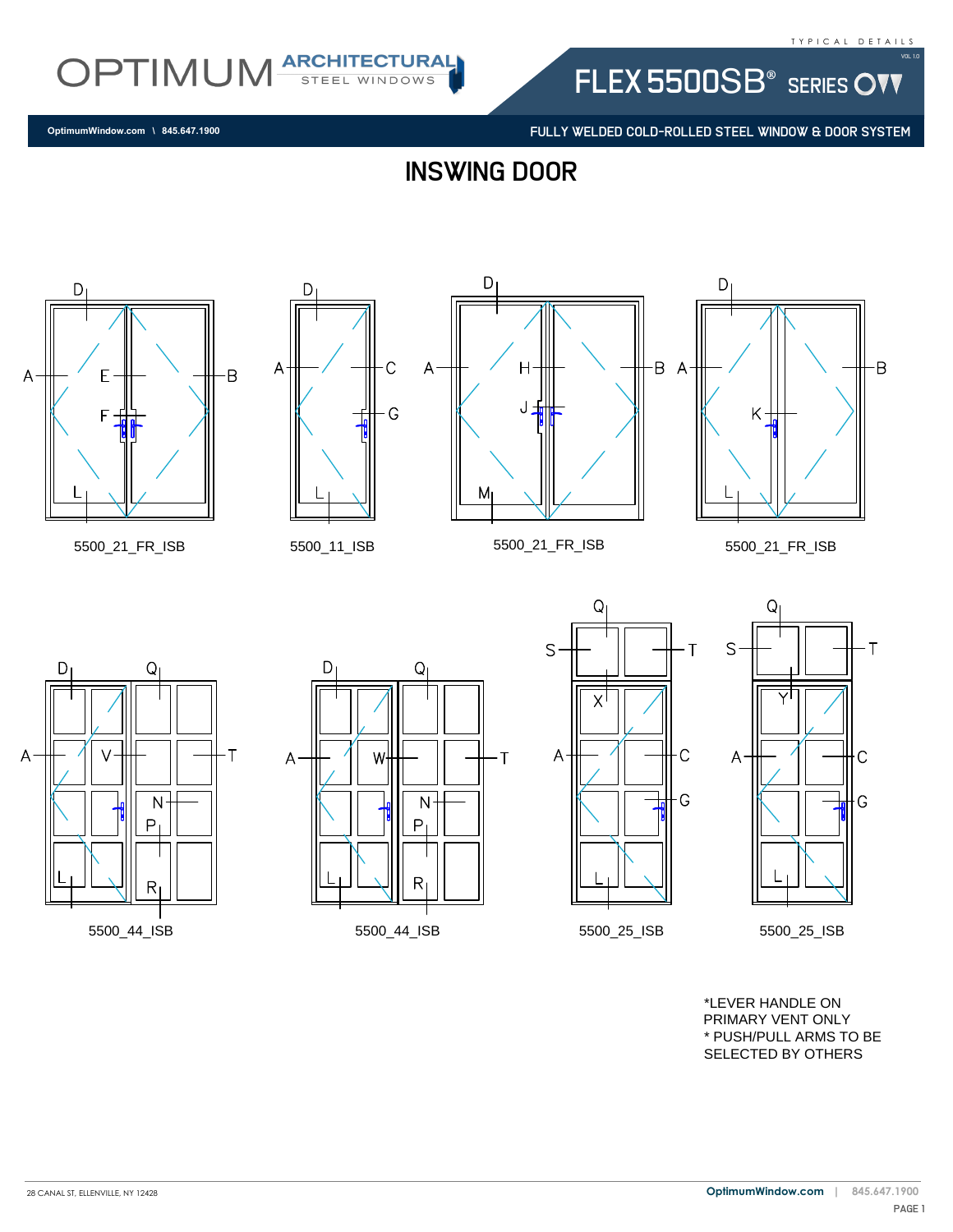

FLEX 5500SB<sup>®</sup> SERIES OVV

FULLY WELDED COLD-ROLLED STEEL WINDOW & DOOR SYSTEM

Β

**OptimumWindow.com \ 845.647.1900**

inswing door



5500\_21\_FR\_ISB 5500\_11\_ISB



D

A















\*LEVER HANDLE ON PRIMARY VENT ONLY \* PUSH/PULL ARMS TO BE SELECTED BY OTHERS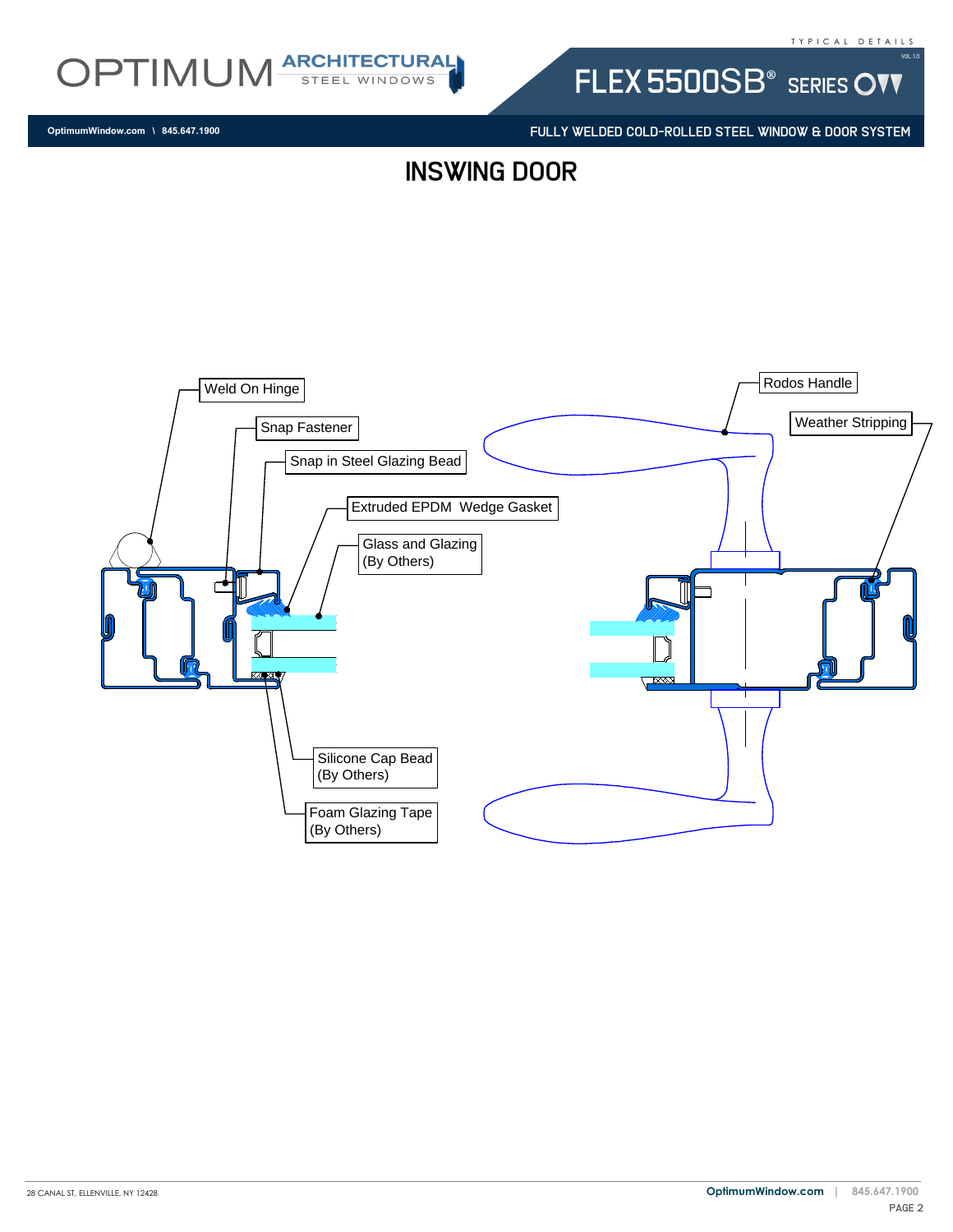

**OptimumWindow.com \ 845.647.1900**

FLEX 5500SB<sup>®</sup> SERIES OVV

FULLY WELDED COLD-ROLLED STEEL WINDOW & DOOR SYSTEM

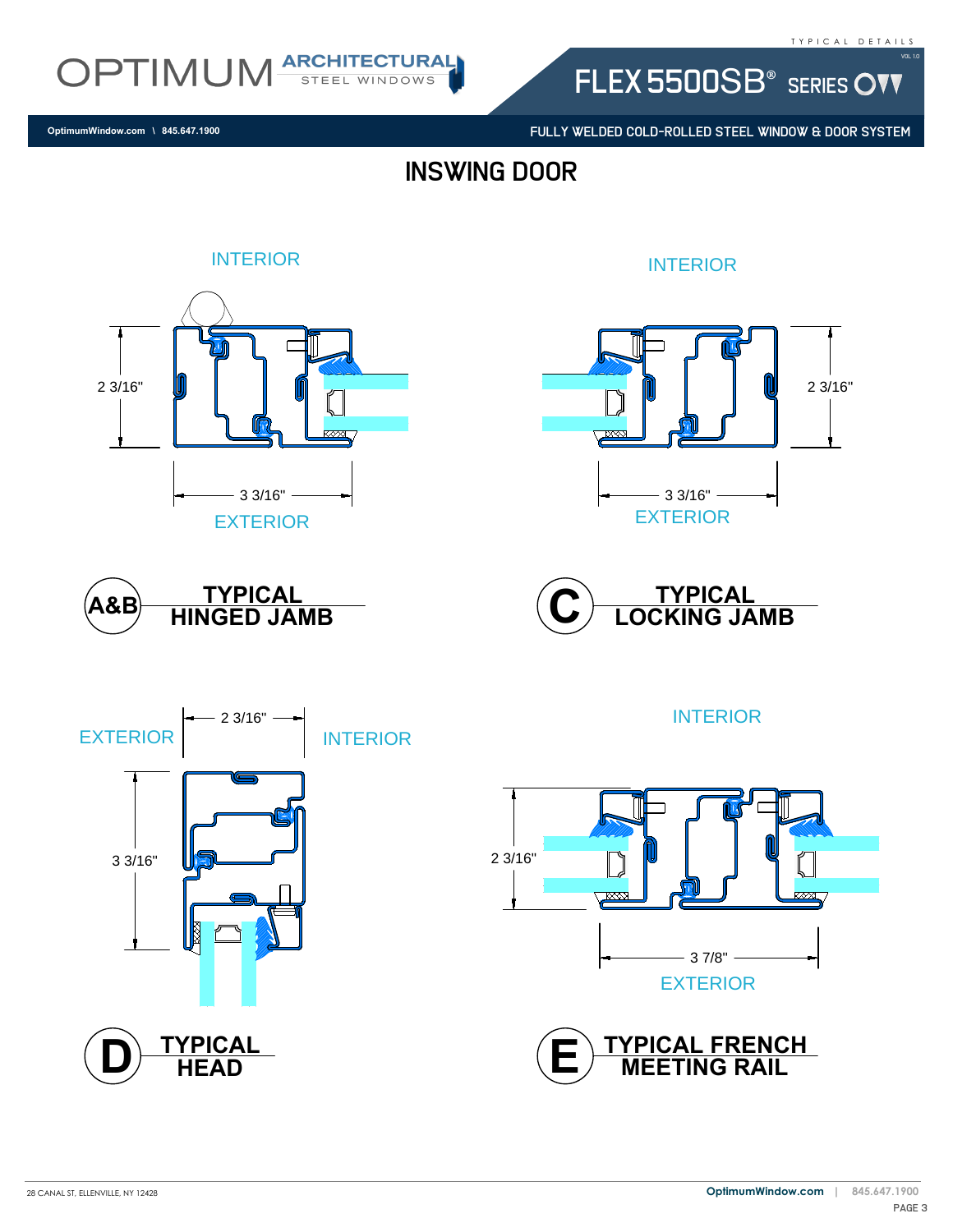

FLEX 5500SB<sup>®</sup> SERIES OVV

FULLY WELDED COLD-ROLLED STEEL WINDOW & DOOR SYSTEM

**OptimumWindow.com \ 845.647.1900**

inswing door

# INTERIOR 2 3/16"  $\overline{\mathbb{Z}}$  $-33/16"$  – EXTERIOR

INTERIOR











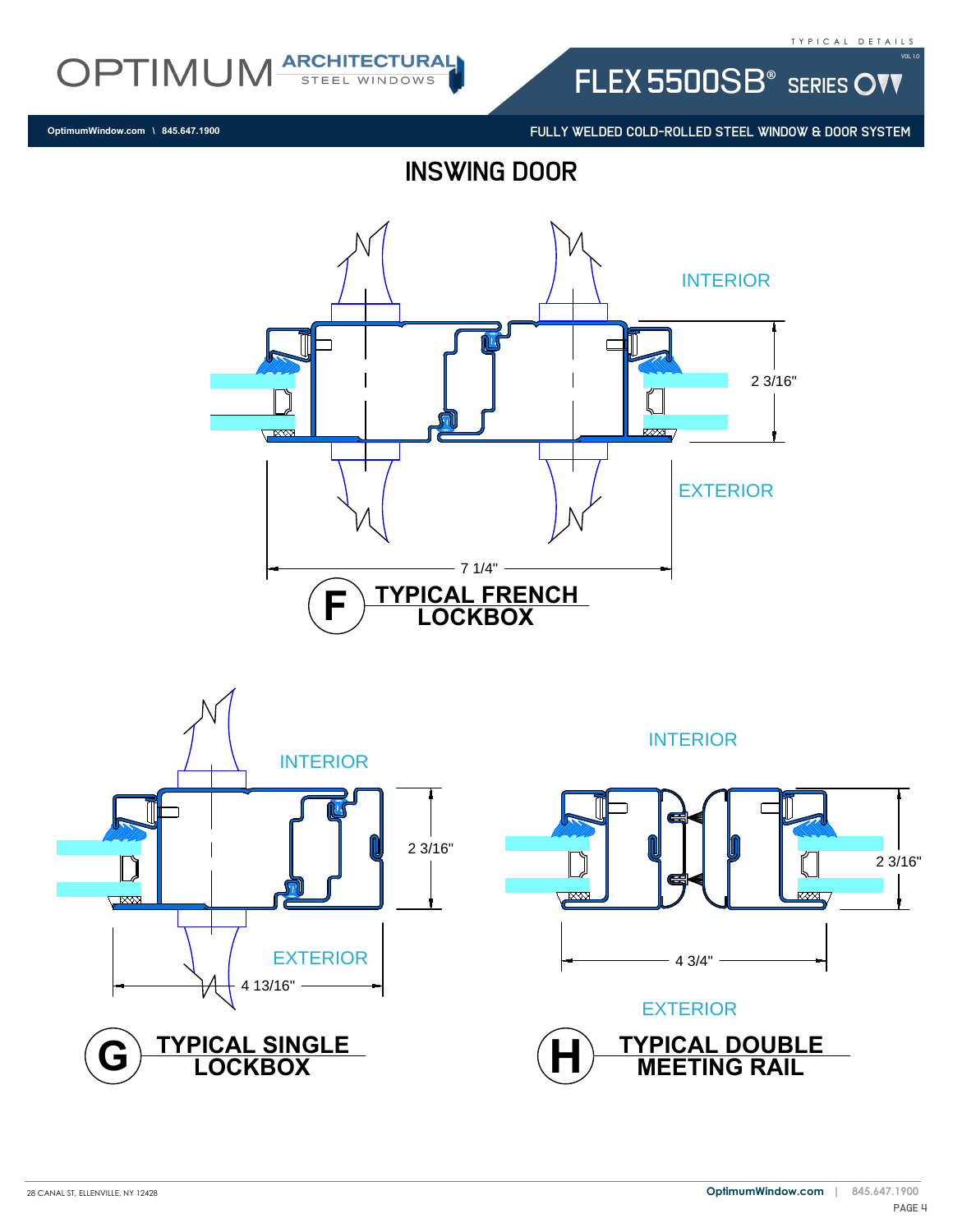

FLEX 5500SB<sup>®</sup> SERIES OVV

FULLY WELDED COLD-ROLLED STEEL WINDOW & DOOR SYSTEM

**OptimumWindow.com \ 845.647.1900**





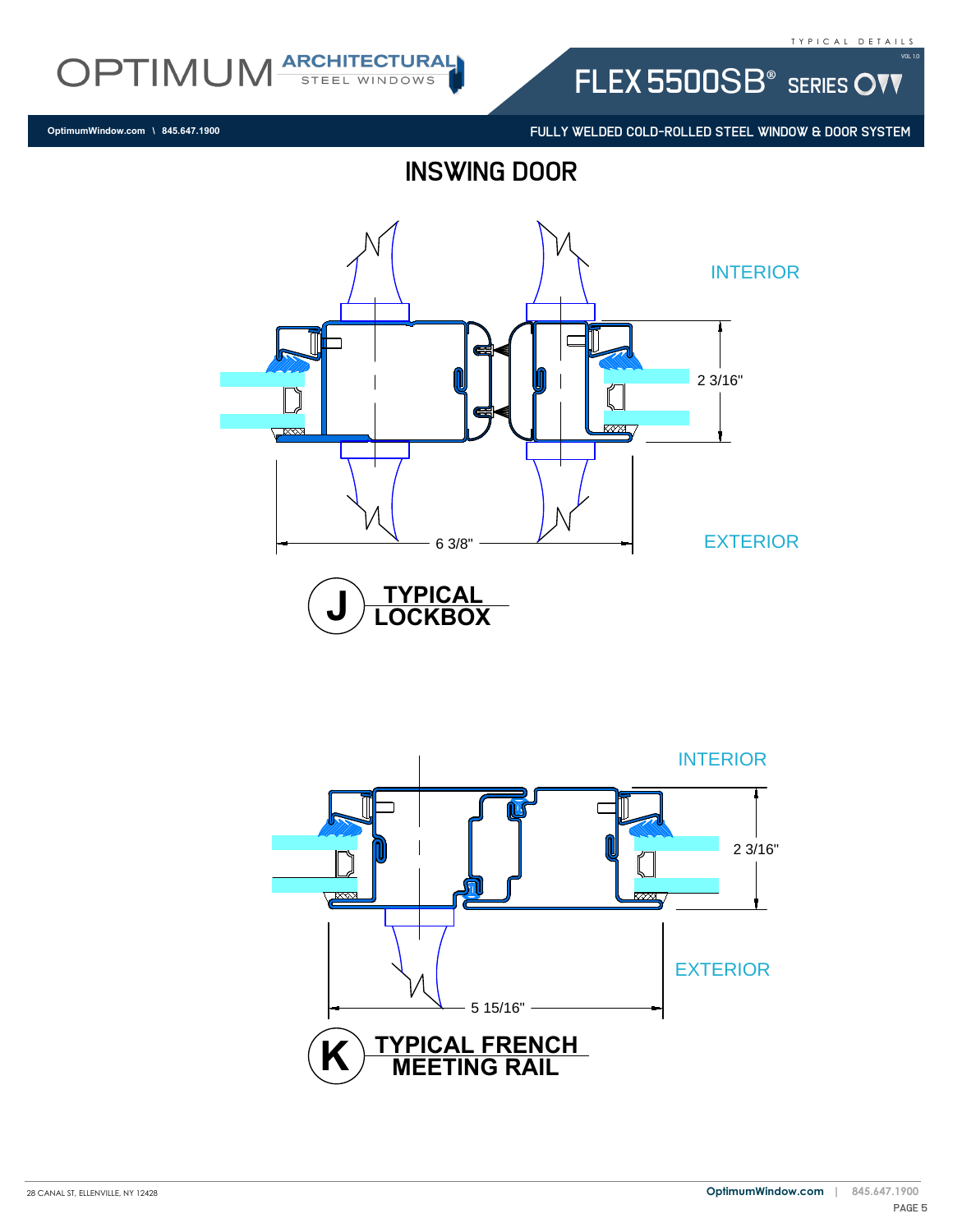

FLEX 5500SB<sup>®</sup> SERIES OVV

FULLY WELDED COLD-ROLLED STEEL WINDOW & DOOR SYSTEM

**OptimumWindow.com \ 845.647.1900**





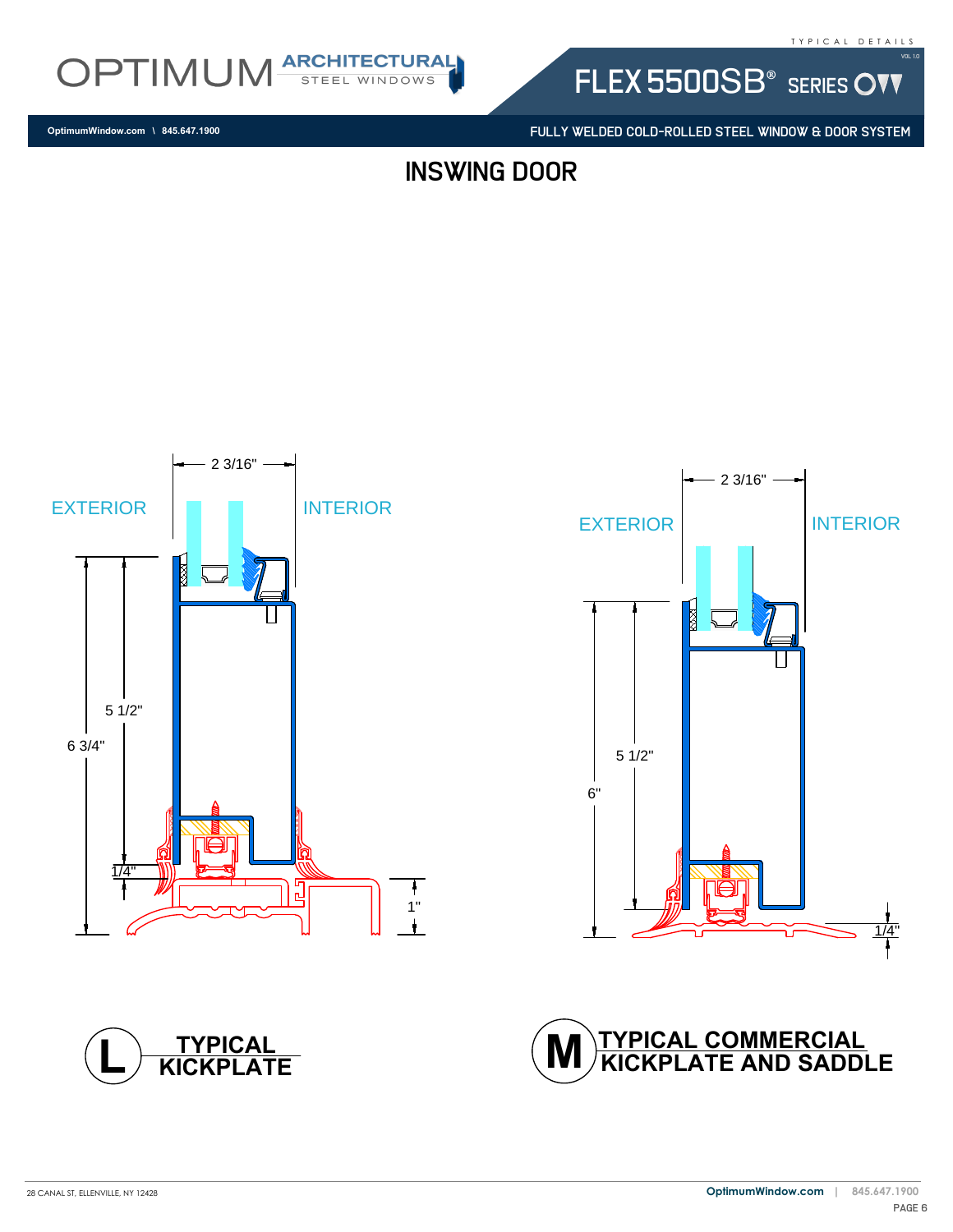

**OptimumWindow.com \ 845.647.1900**

FLEX 5500SB<sup>®</sup> SERIES OVV

FULLY WELDED COLD-ROLLED STEEL WINDOW & DOOR SYSTEM

inswing door







**KICKPLATE TYPICAL L**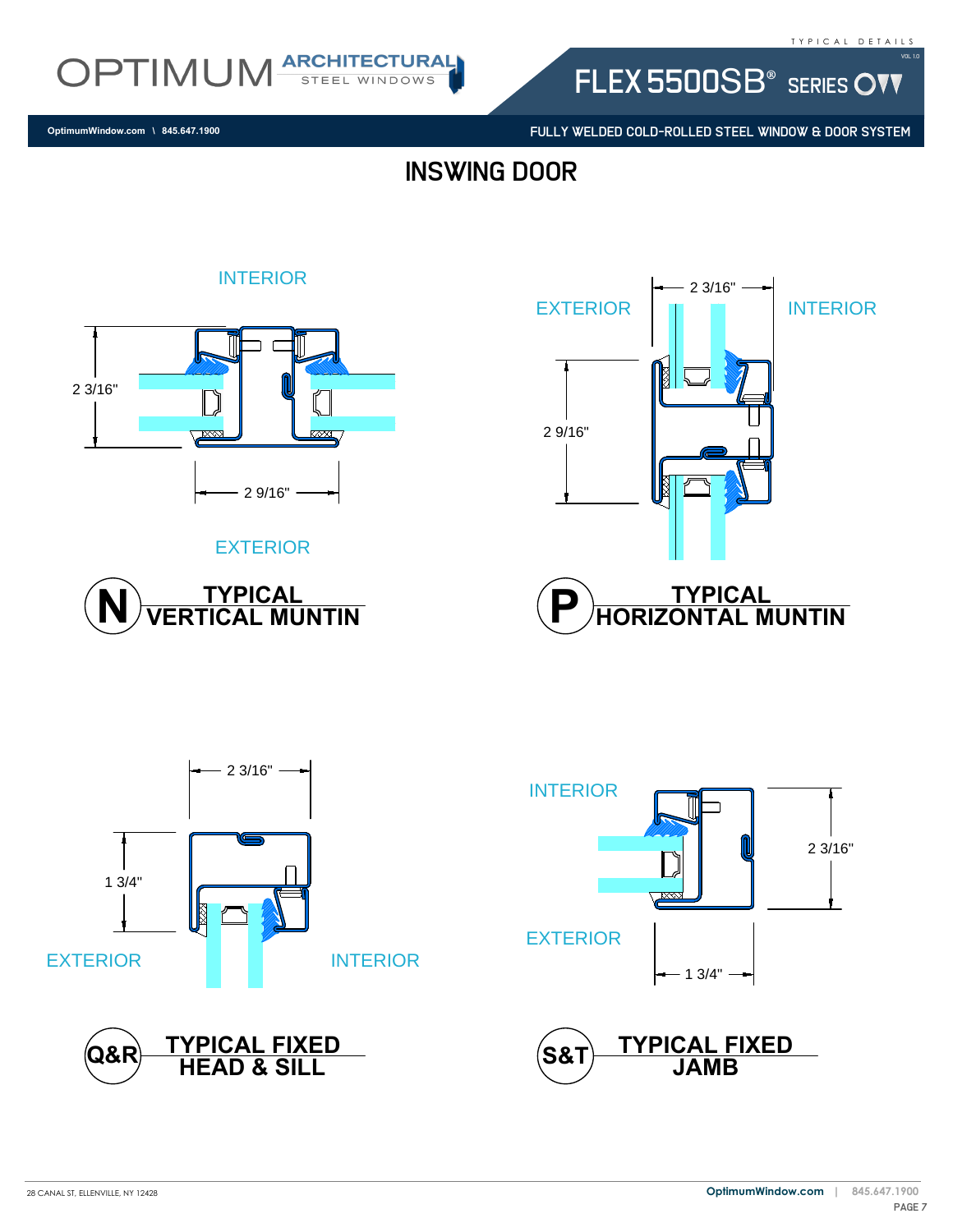

INTERIOR

FLEX 5500SB<sup>®</sup> SERIES OVV

FULLY WELDED COLD-ROLLED STEEL WINDOW & DOOR SYSTEM

**OptimumWindow.com \ 845.647.1900**

## inswing door



#### EXTERIOR







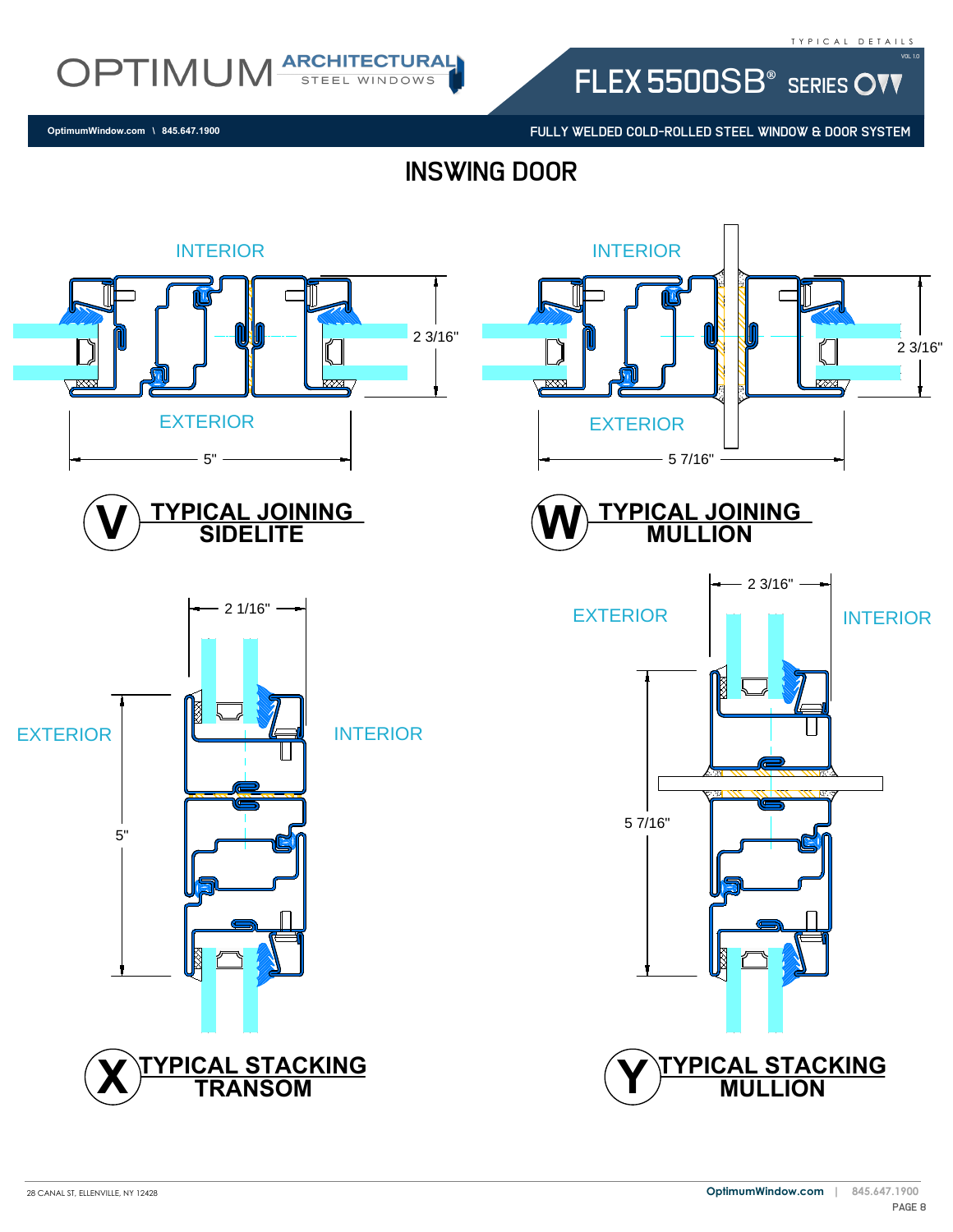OPTIMUM ARCHITECTURAL

**OptimumWindow.com \ 845.647.1900**

FLEX 5500SB<sup>®</sup> SERIES OVV

FULLY WELDED COLD-ROLLED STEEL WINDOW & DOOR SYSTEM

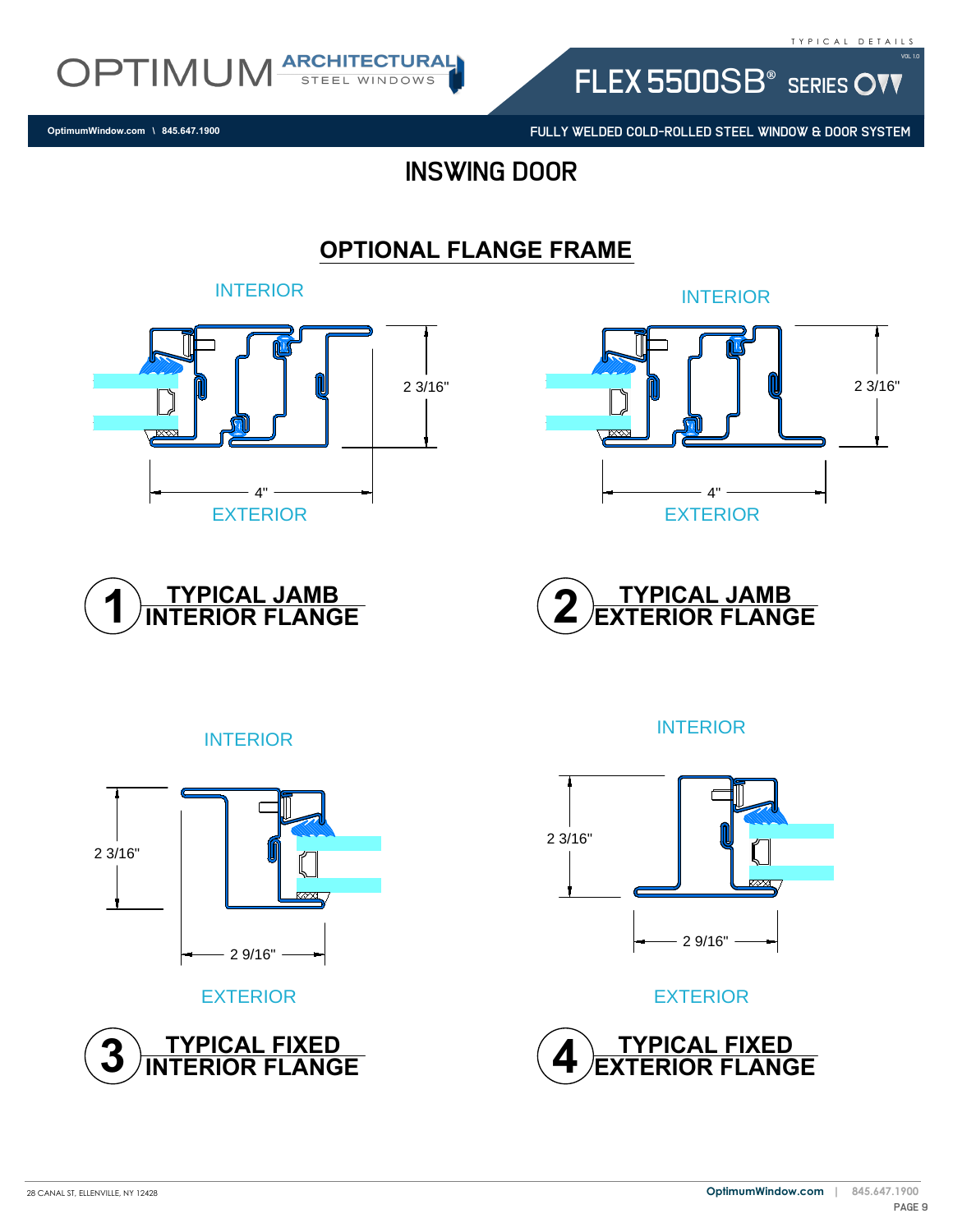

INTERIOR

EXTERIOR

**OptimumWindow.com \ 845.647.1900**

FLEX 5500SB<sup>®</sup> SERIES OVV

FULLY WELDED COLD-ROLLED STEEL WINDOW & DOOR SYSTEM

### inswing door

#### **OPTIONAL FLANGE FRAME**



<u>ITYPICAL JAMBN</u><br>INTERIOR FLANGE







EXTERIOR



INTERIOR



EXTERIOR